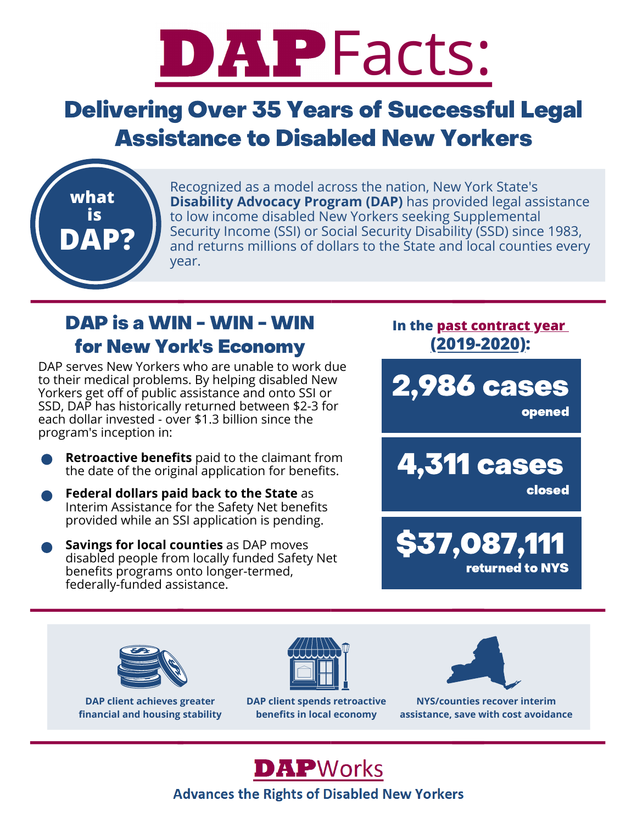# DAPFacts:

## Delivering Over 35 Years of Successful Legal Assistance to Disabled New Yorkers



Recognized as a model across the nation, New York State's **Disability Advocacy Program (DAP)** has provided legal assistance to low income disabled New Yorkers seeking Supplemental Security Income (SSI) or Social Security Disability (SSD) since 1983, and returns millions of dollars to the State and local counties every year.

### DAP is a WIN - WIN - WIN for New York's Economy

DAP serves New Yorkers who are unable to work due to their medical problems. By helping disabled New Yorkers get off of public assistance and onto SSI or SSD, DAP has historically returned between \$2-3 for each dollar invested - over \$1.3 billion since the program's inception in:

- **Retroactive benefits** paid to the claimant from the date of the original application for benefits.
- **Federal dollars paid back to the State** as Interim Assistance for the Safety Net benefits provided while an SSI application is pending.
- **Savings for local counties** as DAP moves disabled people from locally funded Safety Net benefits programs onto longer-termed, federally-funded assistance.

**In the past contract year (2019-2020):**

2,986 cases

opened

4,311 cases

closed





**DAP client achieves greater financial and housing stability**



**DAP client spends retroactive benefits in local economy**



**NYS/counties recover interim assistance, save with cost avoidance**

**DAP**Works

**Advances the Rights of Disabled New Yorkers**